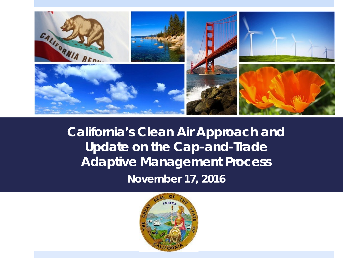

# **California's Clean Air Approach and Update on the Cap-and-Trade Adaptive Management Process**

*November 17, 2016*

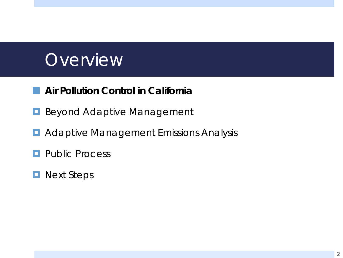# **Overview**

#### **Air Pollution Control in California**

- **Beyond Adaptive Management**
- **D** Adaptive Management Emissions Analysis
- **Public Process**
- **Next Steps**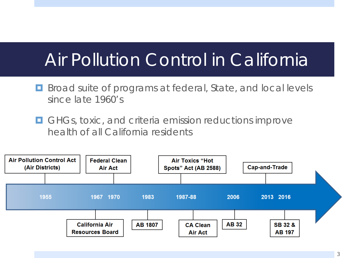# Air Pollution Control in California

- **B** Broad suite of programs at federal, State, and local levels since late 1960's
- **E** GHGs, toxic, and criteria emission reductions improve health of all California residents

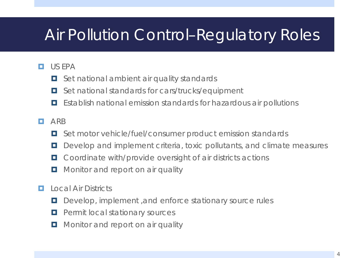## Air Pollution Control–Regulatory Roles

#### **D** US EPA

- **D** Set national ambient air quality standards
- Set national standards for cars/trucks/equipment
- Establish national emission standards for hazardous air pollutions

#### **D** ARB

- Set motor vehicle/fuel/consumer product emission standards
- D Develop and implement criteria, toxic pollutants, and climate measures
- Coordinate with/provide oversight of air districts actions
- **D** Monitor and report on air quality
- **Lational Air Districts** 
	- D Develop, implement, and enforce stationary source rules
	- **Permit local stationary sources**
	- **D** Monitor and report on air quality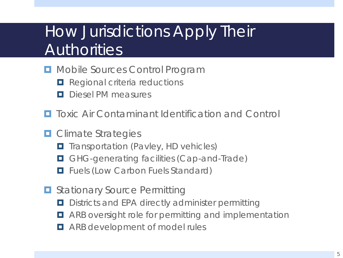## How Jurisdictions Apply Their **Authorities**

- **D** Mobile Sources Control Program
	- **Regional criteria reductions**
	- **D** Diesel PM measures
- **T** Toxic Air Contaminant Identification and Control
- **D** Climate Strategies
	- **T** Transportation (Pavley, HD vehicles)
	- **O GHG-generating facilities (Cap-and-Trade)**
	- **Filter** Fuels (Low Carbon Fuels Standard)
- **D** Stationary Source Permitting
	- **D** Districts and EPA directly administer permitting
	- ARB oversight role for permitting and implementation
	- **E** ARB development of model rules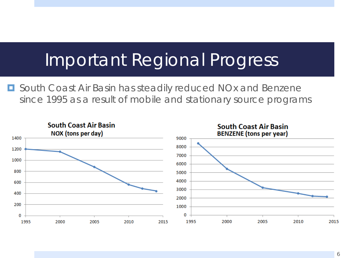# Important Regional Progress

■ South Coast Air Basin has steadily reduced NOx and Benzene since 1995 as a result of mobile and stationary source programs

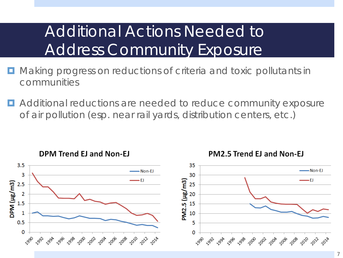## Additional Actions Needed to Address Community Exposure

- **D** Making progress on reductions of criteria and toxic pollutants in communities
- **E** Additional reductions are needed to reduce community exposure of air pollution (esp. near rail yards, distribution centers, etc.)

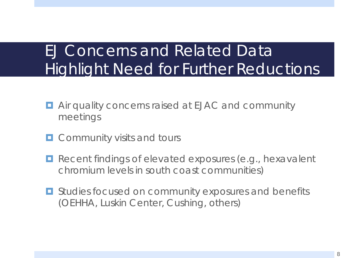## EJ Concerns and Related Data Highlight Need for Further Reductions

- **E** Air quality concerns raised at EJAC and community meetings
- **D** Community visits and tours
- **Recent findings of elevated exposures (e.g., hexavalent** chromium levels in south coast communities)
- **E** Studies focused on community exposures and benefits (OEHHA, Luskin Center, Cushing, others)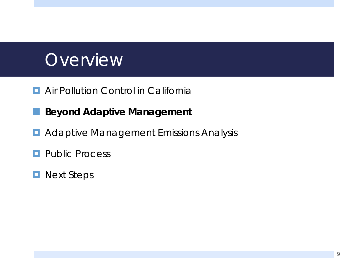# **Overview**

- **E** Air Pollution Control in California
- **Beyond Adaptive Management**
- **Adaptive Management Emissions Analysis**
- **Public Process**
- **Next Steps**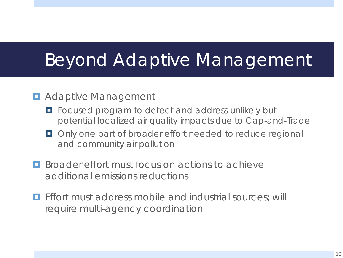# Beyond Adaptive Management

#### **D** Adaptive Management

- **F** Focused program to detect and address unlikely but potential localized air quality impacts due to Cap-and-Trade
- **Only one part of broader effort needed to reduce regional** and community air pollution
- **Broader effort must focus on actions to achieve** additional emissions reductions
- **Effort must address mobile and industrial sources; will** require multi-agency coordination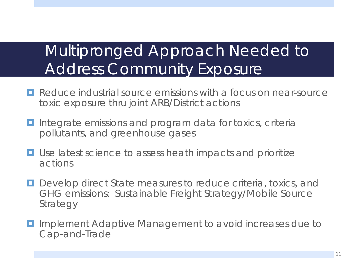## Multipronged Approach Needed to Address Community Exposure

- **Reduce industrial source emissions with a focus on near-source** toxic exposure thru joint ARB/District actions
- **I** Integrate emissions and program data for toxics, criteria pollutants, and greenhouse gases
- **□** Use latest science to assess heath impacts and prioritize actions
- **D** Develop direct State measures to reduce criteria, toxics, and GHG emissions: Sustainable Freight Strategy/Mobile Source Strategy
- **D** Implement Adaptive Management to avoid increases due to Cap-and-Trade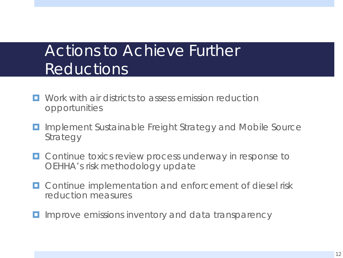### Actions to Achieve Further Reductions

- $\Box$  Work with air districts to assess emission reduction opportunities
- Implement Sustainable Freight Strategy and Mobile Source Strategy
- $\Box$  Continue toxics review process underway in response to OEHHA's risk methodology update
- **D** Continue implementation and enforcement of diesel risk reduction measures
- **I** Improve emissions inventory and data transparency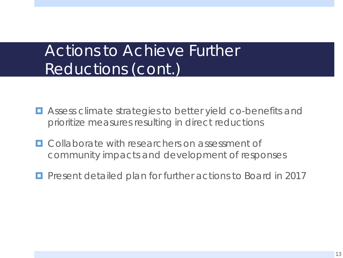### Actions to Achieve Further Reductions (cont.)

- $\blacksquare$  Assess climate strategies to better yield co-benefits and prioritize measures resulting in direct reductions
- **E.** Collaborate with researchers on assessment of community impacts and development of responses
- **Perent detailed plan for further actions to Board in 2017**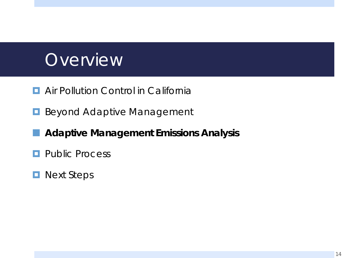# **Overview**

- **E** Air Pollution Control in California
- **Beyond Adaptive Management**

#### **Adaptive Management Emissions Analysis**

- **Public Process**
- **Next Steps**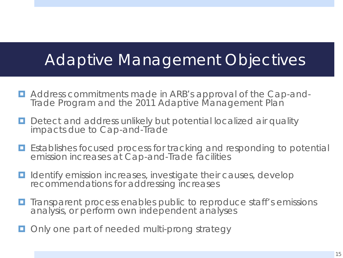#### Adaptive Management Objectives

- Address commitments made in ARB's approval of the Cap-and- Trade Program and the 2011 Adaptive Management Plan
- **Detect and address unlikely but potential localized air quality** impacts due to Cap-and-Trade
- Establishes focused process for tracking and responding to potential emission increases at Cap-and-Trade facilities
- **I** Identify emission increases, investigate their causes, develop recommendations for addressing increases
- **T** Transparent process enables public to reproduce staff's emissions analysis, or perform own independent analyses
- Only one part of needed multi-prong strategy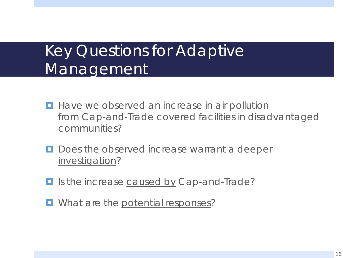## Key Questions for Adaptive Management

- **Have we observed an increase in air pollution** from Cap-and-Trade covered facilities in disadvantaged communities?
- Does the observed increase warrant a deeper investigation?
- I Is the increase caused by Cap-and-Trade?
- **D** What are the potential responses?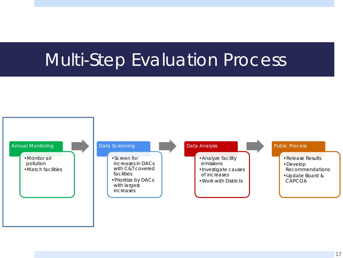# Multi-Step Evaluation Process

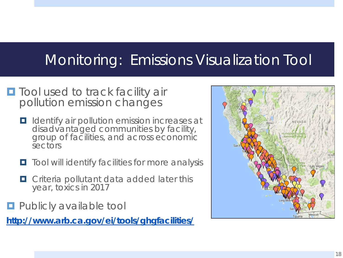#### Monitoring: Emissions Visualization Tool

- **The Tool used to track facility air** pollution emission changes
	- **I** Identify air pollution emission increases at disadvantaged communities by facility,<br>group of facilities, and across economic sectors
	- **T** Tool will identify facilities for more analysis
	- $\Box$  Criteria pollutant data added later this year, toxics in 2017
- **Publicly available tool**

**http://www.arb.ca.gov/ei/tools/ghgfacilities/**

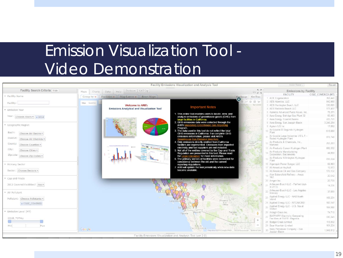## Emission Visualization Tool - Video Demonstration

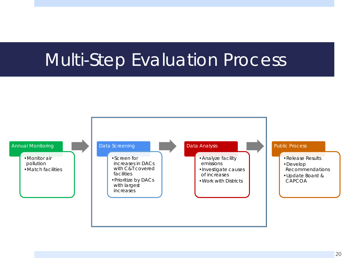# Multi-Step Evaluation Process

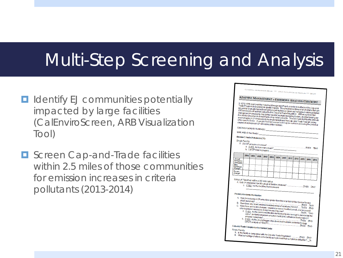# Multi-Step Screening and Analysis

- **<u>E</u>** Identify EJ communities potentially impacted by large facilities (CalEnviroScreen, ARB Visualization Tool)
- **O** Screen Cap-and-Trade facilities within 2.5 miles of those communities for emission increases in criteria pollutants (2013-2014)

|                                                                                                                                                                                                                                                                                          |                                                           |      |      |                                                         |      |      |      |      | CALIFORNIA AIR RESOURCES BOARD *** AB 32 CLIMATE CHANGE PROGRAMS *** DRAFT                             |      |      |                                                                                                                                                                                                         |  |  |
|------------------------------------------------------------------------------------------------------------------------------------------------------------------------------------------------------------------------------------------------------------------------------------------|-----------------------------------------------------------|------|------|---------------------------------------------------------|------|------|------|------|--------------------------------------------------------------------------------------------------------|------|------|---------------------------------------------------------------------------------------------------------------------------------------------------------------------------------------------------------|--|--|
|                                                                                                                                                                                                                                                                                          |                                                           |      |      |                                                         |      |      |      |      | ADAPTIVE MANAGEMENT - EMISSIONS ANALYSIS CHECKLIST                                                     |      |      |                                                                                                                                                                                                         |  |  |
|                                                                                                                                                                                                                                                                                          |                                                           |      |      |                                                         |      |      |      |      |                                                                                                        |      |      |                                                                                                                                                                                                         |  |  |
|                                                                                                                                                                                                                                                                                          |                                                           |      |      |                                                         |      |      |      |      |                                                                                                        |      |      | In 2012, ARB approved the Adaptive Management Plan to monitor the effects of the Cap-and-<br>Trade Program on localized air quality impacts. This checklist contains a list of criteria that can        |  |  |
|                                                                                                                                                                                                                                                                                          |                                                           |      |      |                                                         |      |      |      |      | CP) emissions attacilities subject to the Cap-and-Trade Regulation. ARB recognizes that                |      |      | be used to evaluate the factors that may contribute to an observed increase in criteria pollulant                                                                                                       |  |  |
|                                                                                                                                                                                                                                                                                          |                                                           |      |      |                                                         |      |      |      |      |                                                                                                        |      |      | changes in CP emissions may be the result of multiple interacting factors, and that leasing out<br>the relative importance of each factor may not be possible. This will make it difficult to attribute |  |  |
|                                                                                                                                                                                                                                                                                          |                                                           |      |      |                                                         |      |      |      |      | any increases in CP emissions to the implementation of the Cap-and-Trade Program, or any               |      |      | other specific factor. A weight of evidence approach may be useful in assessing the potential                                                                                                           |  |  |
|                                                                                                                                                                                                                                                                                          |                                                           |      |      |                                                         |      |      |      |      |                                                                                                        |      |      |                                                                                                                                                                                                         |  |  |
|                                                                                                                                                                                                                                                                                          | CEIDARS Facility ID Number(s):                            |      |      |                                                         |      |      |      |      |                                                                                                        |      |      |                                                                                                                                                                                                         |  |  |
|                                                                                                                                                                                                                                                                                          | MRR ARB ID Number(s):<br>Review Criteria Pollutants (CP): |      |      |                                                         |      |      |      |      |                                                                                                        |      |      |                                                                                                                                                                                                         |  |  |
|                                                                                                                                                                                                                                                                                          |                                                           |      |      |                                                         |      |      |      |      |                                                                                                        |      |      |                                                                                                                                                                                                         |  |  |
| <b>Single Facility</b><br>A. Did CP emissions increase?                                                                                                                                                                                                                                  |                                                           |      |      |                                                         |      |      |      |      |                                                                                                        |      |      |                                                                                                                                                                                                         |  |  |
| <b>DYES DNO</b><br>a. If YES, for how many years?<br>b. List CPs that increased:                                                                                                                                                                                                         |                                                           |      |      |                                                         |      |      |      |      |                                                                                                        |      |      |                                                                                                                                                                                                         |  |  |
|                                                                                                                                                                                                                                                                                          |                                                           |      |      |                                                         |      |      |      |      |                                                                                                        |      |      |                                                                                                                                                                                                         |  |  |
| Annual                                                                                                                                                                                                                                                                                   | 2004                                                      | 2005 | 2006 | 2007                                                    | 2008 | 2009 | 2010 | 2011 | 2012                                                                                                   | 2013 | 2014 |                                                                                                                                                                                                         |  |  |
| <b>Emissions</b><br>(tons/year)                                                                                                                                                                                                                                                          |                                                           |      |      |                                                         |      |      |      |      |                                                                                                        |      |      | 2015                                                                                                                                                                                                    |  |  |
| Mass<br><b>Emissions</b><br>Change?                                                                                                                                                                                                                                                      |                                                           |      |      |                                                         |      |      |      |      |                                                                                                        |      |      |                                                                                                                                                                                                         |  |  |
| Percent<br>Change?                                                                                                                                                                                                                                                                       |                                                           |      |      |                                                         |      |      |      |      |                                                                                                        |      |      |                                                                                                                                                                                                         |  |  |
|                                                                                                                                                                                                                                                                                          |                                                           |      |      |                                                         |      |      |      |      |                                                                                                        |      |      |                                                                                                                                                                                                         |  |  |
|                                                                                                                                                                                                                                                                                          | Group of Facilities within a [X] mile radius              |      |      |                                                         |      |      |      |      |                                                                                                        |      |      |                                                                                                                                                                                                         |  |  |
|                                                                                                                                                                                                                                                                                          |                                                           |      |      |                                                         |      |      |      |      |                                                                                                        |      |      |                                                                                                                                                                                                         |  |  |
|                                                                                                                                                                                                                                                                                          |                                                           |      |      |                                                         |      |      |      |      |                                                                                                        |      |      |                                                                                                                                                                                                         |  |  |
| <b>Permit Emissions Information:</b>                                                                                                                                                                                                                                                     |                                                           |      |      |                                                         |      |      |      |      |                                                                                                        |      |      |                                                                                                                                                                                                         |  |  |
|                                                                                                                                                                                                                                                                                          |                                                           |      |      |                                                         |      |      |      |      |                                                                                                        |      |      |                                                                                                                                                                                                         |  |  |
| A. Was the increase in CP emissions greater than the local district New Source Review<br>B. Were there any recent emissions-related notice of violations (NOVs)? DYES DNO<br><b>UYES DNO</b><br>C. Were there any facility changes - requiring a new or modified permit - that increased |                                                           |      |      |                                                         |      |      |      |      |                                                                                                        |      |      |                                                                                                                                                                                                         |  |  |
|                                                                                                                                                                                                                                                                                          |                                                           |      |      | criteria pollutant emissions during the reporting year? |      |      |      |      |                                                                                                        |      |      |                                                                                                                                                                                                         |  |  |
|                                                                                                                                                                                                                                                                                          |                                                           |      |      |                                                         |      |      |      |      | a. If YES, did the permit modification increase emissions enough to necessitate the<br><b>DYES ONO</b> |      |      |                                                                                                                                                                                                         |  |  |
|                                                                                                                                                                                                                                                                                          |                                                           |      |      |                                                         |      |      |      |      | use of air district emission reduction credit (ERC) offsets or direct onsite CP                        |      |      |                                                                                                                                                                                                         |  |  |
|                                                                                                                                                                                                                                                                                          |                                                           |      |      |                                                         |      |      |      |      | b. If YES, did the project trigger a top-down best available control technology<br><b>DYES ONO</b>     |      |      |                                                                                                                                                                                                         |  |  |
| ap-and-Trade Compliance Instrument Data:                                                                                                                                                                                                                                                 |                                                           |      |      |                                                         |      |      |      |      | <b>DYES ONO</b>                                                                                        |      |      |                                                                                                                                                                                                         |  |  |
| ngle Facility                                                                                                                                                                                                                                                                            |                                                           |      |      |                                                         |      |      |      |      |                                                                                                        |      |      |                                                                                                                                                                                                         |  |  |
|                                                                                                                                                                                                                                                                                          |                                                           |      |      |                                                         |      |      |      |      |                                                                                                        |      |      |                                                                                                                                                                                                         |  |  |
| B. What percentage of offsets is the facility using to meet their compliance obligation? _%                                                                                                                                                                                              |                                                           |      |      |                                                         |      |      |      |      |                                                                                                        |      |      |                                                                                                                                                                                                         |  |  |
|                                                                                                                                                                                                                                                                                          |                                                           |      |      |                                                         |      |      |      |      |                                                                                                        |      |      |                                                                                                                                                                                                         |  |  |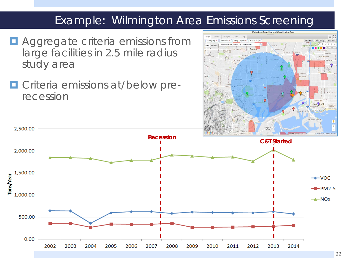#### Example: Wilmington Area Emissions Screening

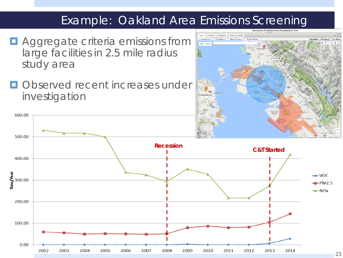#### Example: Oakland Area Emissions Screening

- **E** Aggregate criteria emissions from large facilities in 2.5 mile radius study area
- **Observed recent increases under** investigation

600.00



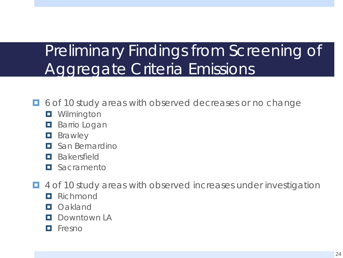# Preliminary Findings from Screening of Aggregate Criteria Emissions

- $\Box$  6 of 10 study areas with observed decreases or no change
	- **O** Wilmington
	- **Barrio Logan**
	- **D** Brawley
	- **E** San Bernardino
	- **Bakersfield**
	- **O** Sacramento
- 4 of 10 study areas with observed increases under investigation
	- **Richmond**
	- **D** Oakland
	- **D** Downtown LA
	- **D** Fresno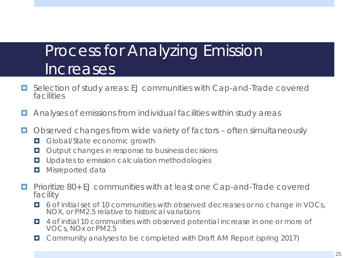## Process for Analyzing Emission Increases

- Selection of study areas: EJ communities with Cap-and-Trade covered facilities
- **E** Analyses of emissions from individual facilities within study areas
- $\Box$  Observed changes from wide variety of factors often simultaneously
	- **Global/State economic growth**
	- $\Box$  Output changes in response to business decisions
	- **L** Updates to emission calculation methodologies
	- $\blacksquare$  Misreported data
- **Prioritize 80+ EJ communities with at least one Cap-and-Trade covered** facility
	- 6 of initial set of 10 communities with observed decreases or no change in VOCs, NOX, or PM2.5 relative to historical variations
	- 4 of initial 10 communities with observed potential increase in one or more of VOCs, NOx or PM2.5
	- Community analyses to be completed with Draft AM Report (spring 2017)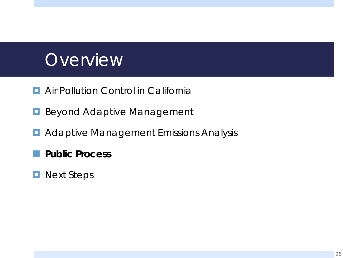# **Overview**

- **E** Air Pollution Control in California
- **Beyond Adaptive Management**
- **D** Adaptive Management Emissions Analysis
	- **Public Process**
- **Next Steps**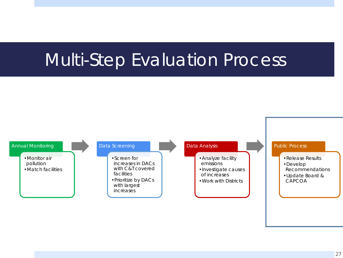# Multi-Step Evaluation Process

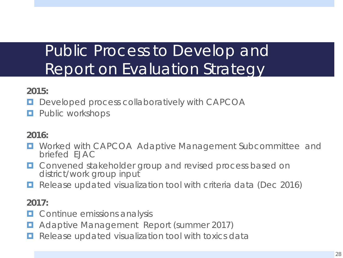## Public Process to Develop and Report on Evaluation Strategy

#### **2015:**

- **Developed process collaboratively with CAPCOA**
- **Public workshops**

#### **2016:**

- **D** Worked with CAPCOA Adaptive Management Subcommittee and briefed EJAC
- **D** Convened stakeholder group and revised process based on district/work group input
- Release updated visualization tool with criteria data (Dec 2016)

#### **2017:**

- **D** Continue emissions analysis
- **E** Adaptive Management Report (summer 2017)
- Release updated visualization tool with toxics data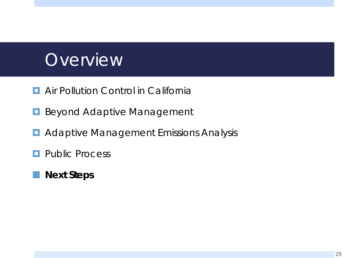# **Overview**

- **E** Air Pollution Control in California
- **Beyond Adaptive Management**
- **D** Adaptive Management Emissions Analysis
- **Public Process**
- **Next Steps**